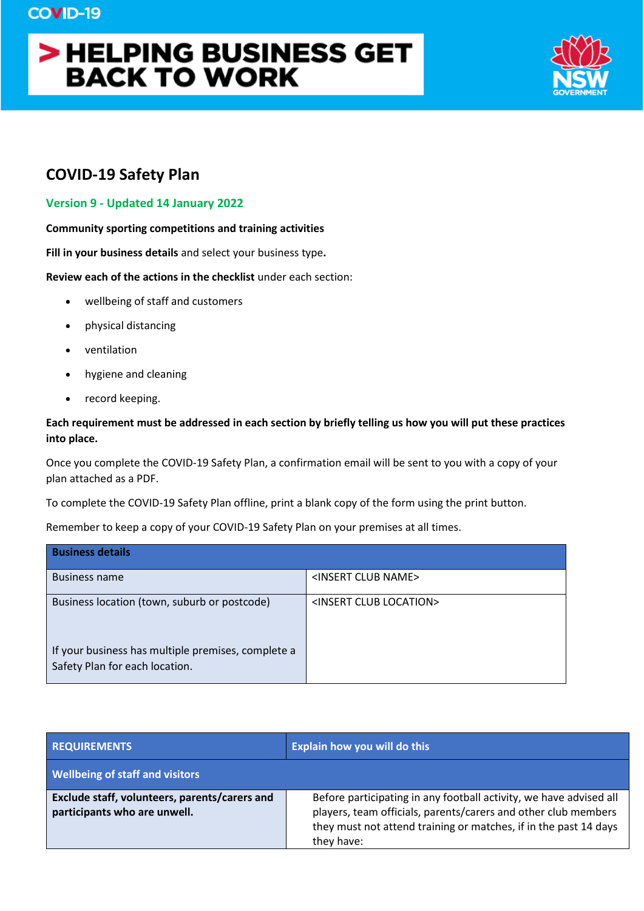# > HELPING BUSINESS GET **BACK TO WORK**



# **COVID-19 Safety Plan**

### **Version 9 - Updated 14 January 2022**

#### **Community sporting competitions and training activities**

**Fill in your business details** and select your business type**.**

#### **Review each of the actions in the checklist** under each section:

- wellbeing of staff and customers
- physical distancing
- ventilation
- hygiene and cleaning
- record keeping.

## **Each requirement must be addressed in each section by briefly telling us how you will put these practices into place.**

Once you complete the COVID-19 Safety Plan, a confirmation email will be sent to you with a copy of your plan attached as a PDF.

To complete the COVID-19 Safety Plan offline, print a blank copy of the form using the print button.

Remember to keep a copy of your COVID-19 Safety Plan on your premises at all times.

| <b>Business details</b>                                                              |                                       |
|--------------------------------------------------------------------------------------|---------------------------------------|
| <b>Business name</b>                                                                 | <insert club="" name=""></insert>     |
| Business location (town, suburb or postcode)                                         | <insert club="" location=""></insert> |
| If your business has multiple premises, complete a<br>Safety Plan for each location. |                                       |

| <b>REQUIREMENTS</b>                                                           | Explain how you will do this                                                                                                                                                                                           |
|-------------------------------------------------------------------------------|------------------------------------------------------------------------------------------------------------------------------------------------------------------------------------------------------------------------|
| <b>Wellbeing of staff and visitors</b>                                        |                                                                                                                                                                                                                        |
| Exclude staff, volunteers, parents/carers and<br>participants who are unwell. | Before participating in any football activity, we have advised all<br>players, team officials, parents/carers and other club members<br>they must not attend training or matches, if in the past 14 days<br>they have: |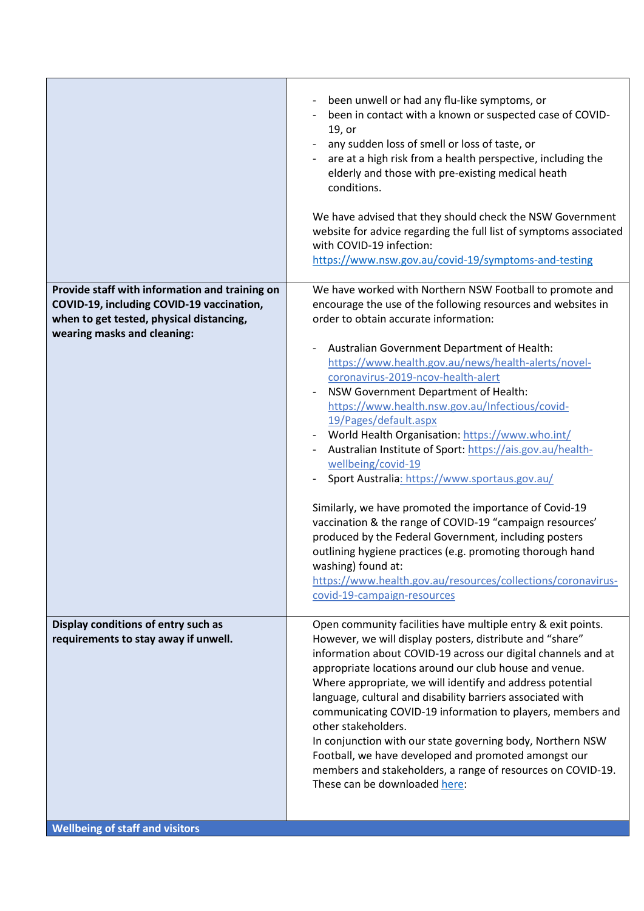|                                                                                                                                                                        | been unwell or had any flu-like symptoms, or<br>been in contact with a known or suspected case of COVID-<br>19, or<br>any sudden loss of smell or loss of taste, or<br>are at a high risk from a health perspective, including the<br>elderly and those with pre-existing medical heath<br>conditions.<br>We have advised that they should check the NSW Government<br>website for advice regarding the full list of symptoms associated<br>with COVID-19 infection:<br>https://www.nsw.gov.au/covid-19/symptoms-and-testing                                                                                                                                                                                                                                                                                                                                                                                                                                                              |
|------------------------------------------------------------------------------------------------------------------------------------------------------------------------|-------------------------------------------------------------------------------------------------------------------------------------------------------------------------------------------------------------------------------------------------------------------------------------------------------------------------------------------------------------------------------------------------------------------------------------------------------------------------------------------------------------------------------------------------------------------------------------------------------------------------------------------------------------------------------------------------------------------------------------------------------------------------------------------------------------------------------------------------------------------------------------------------------------------------------------------------------------------------------------------|
| Provide staff with information and training on<br>COVID-19, including COVID-19 vaccination,<br>when to get tested, physical distancing,<br>wearing masks and cleaning: | We have worked with Northern NSW Football to promote and<br>encourage the use of the following resources and websites in<br>order to obtain accurate information:<br>Australian Government Department of Health:<br>https://www.health.gov.au/news/health-alerts/novel-<br>coronavirus-2019-ncov-health-alert<br>NSW Government Department of Health:<br>https://www.health.nsw.gov.au/Infectious/covid-<br>19/Pages/default.aspx<br>World Health Organisation: https://www.who.int/<br>Australian Institute of Sport: https://ais.gov.au/health-<br>wellbeing/covid-19<br>Sport Australia: https://www.sportaus.gov.au/<br>Similarly, we have promoted the importance of Covid-19<br>vaccination & the range of COVID-19 "campaign resources'<br>produced by the Federal Government, including posters<br>outlining hygiene practices (e.g. promoting thorough hand<br>washing) found at:<br>https://www.health.gov.au/resources/collections/coronavirus-<br>covid-19-campaign-resources |
| Display conditions of entry such as<br>requirements to stay away if unwell.<br><b>Wellbeing of staff and visitors</b>                                                  | Open community facilities have multiple entry & exit points.<br>However, we will display posters, distribute and "share"<br>information about COVID-19 across our digital channels and at<br>appropriate locations around our club house and venue.<br>Where appropriate, we will identify and address potential<br>language, cultural and disability barriers associated with<br>communicating COVID-19 information to players, members and<br>other stakeholders.<br>In conjunction with our state governing body, Northern NSW<br>Football, we have developed and promoted amongst our<br>members and stakeholders, a range of resources on COVID-19.<br>These can be downloaded here:                                                                                                                                                                                                                                                                                                 |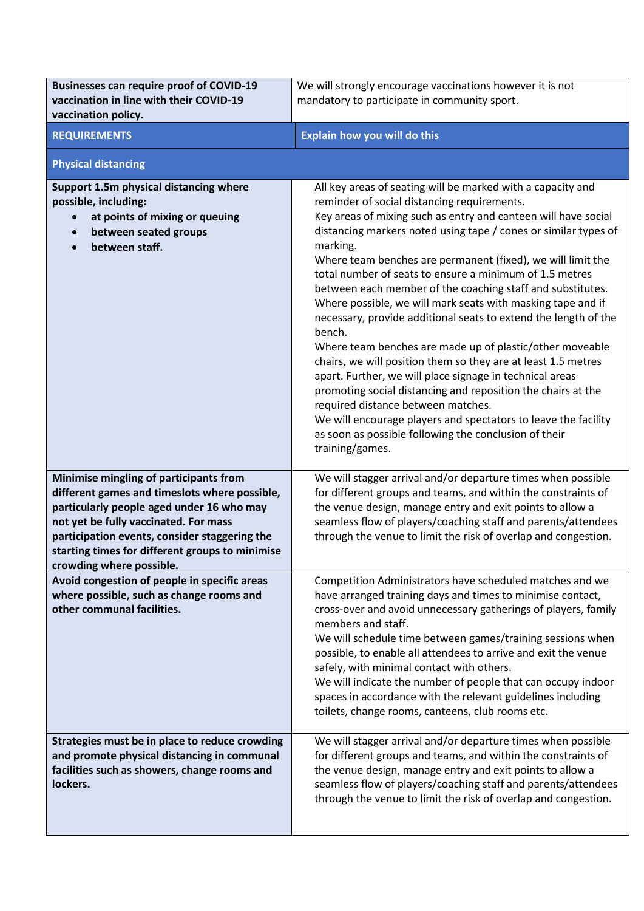| <b>Businesses can require proof of COVID-19</b><br>vaccination in line with their COVID-19<br>vaccination policy.                                                                                                                                                                                             | We will strongly encourage vaccinations however it is not<br>mandatory to participate in community sport.                                                                                                                                                                                                                                                                                                                                                                                                                                                                                                                                                                                                                                                                                                                                                                                                                                                                                                                                    |
|---------------------------------------------------------------------------------------------------------------------------------------------------------------------------------------------------------------------------------------------------------------------------------------------------------------|----------------------------------------------------------------------------------------------------------------------------------------------------------------------------------------------------------------------------------------------------------------------------------------------------------------------------------------------------------------------------------------------------------------------------------------------------------------------------------------------------------------------------------------------------------------------------------------------------------------------------------------------------------------------------------------------------------------------------------------------------------------------------------------------------------------------------------------------------------------------------------------------------------------------------------------------------------------------------------------------------------------------------------------------|
| <b>REQUIREMENTS</b>                                                                                                                                                                                                                                                                                           | <b>Explain how you will do this</b>                                                                                                                                                                                                                                                                                                                                                                                                                                                                                                                                                                                                                                                                                                                                                                                                                                                                                                                                                                                                          |
| <b>Physical distancing</b>                                                                                                                                                                                                                                                                                    |                                                                                                                                                                                                                                                                                                                                                                                                                                                                                                                                                                                                                                                                                                                                                                                                                                                                                                                                                                                                                                              |
| Support 1.5m physical distancing where<br>possible, including:<br>at points of mixing or queuing<br>$\bullet$<br>between seated groups<br>$\bullet$<br>between staff.<br>$\bullet$                                                                                                                            | All key areas of seating will be marked with a capacity and<br>reminder of social distancing requirements.<br>Key areas of mixing such as entry and canteen will have social<br>distancing markers noted using tape / cones or similar types of<br>marking.<br>Where team benches are permanent (fixed), we will limit the<br>total number of seats to ensure a minimum of 1.5 metres<br>between each member of the coaching staff and substitutes.<br>Where possible, we will mark seats with masking tape and if<br>necessary, provide additional seats to extend the length of the<br>bench.<br>Where team benches are made up of plastic/other moveable<br>chairs, we will position them so they are at least 1.5 metres<br>apart. Further, we will place signage in technical areas<br>promoting social distancing and reposition the chairs at the<br>required distance between matches.<br>We will encourage players and spectators to leave the facility<br>as soon as possible following the conclusion of their<br>training/games. |
| Minimise mingling of participants from<br>different games and timeslots where possible,<br>particularly people aged under 16 who may<br>not yet be fully vaccinated. For mass<br>participation events, consider staggering the<br>starting times for different groups to minimise<br>crowding where possible. | We will stagger arrival and/or departure times when possible<br>for different groups and teams, and within the constraints of<br>the venue design, manage entry and exit points to allow a<br>seamless flow of players/coaching staff and parents/attendees<br>through the venue to limit the risk of overlap and congestion.                                                                                                                                                                                                                                                                                                                                                                                                                                                                                                                                                                                                                                                                                                                |
| Avoid congestion of people in specific areas<br>where possible, such as change rooms and<br>other communal facilities.                                                                                                                                                                                        | Competition Administrators have scheduled matches and we<br>have arranged training days and times to minimise contact,<br>cross-over and avoid unnecessary gatherings of players, family<br>members and staff.<br>We will schedule time between games/training sessions when<br>possible, to enable all attendees to arrive and exit the venue<br>safely, with minimal contact with others.<br>We will indicate the number of people that can occupy indoor<br>spaces in accordance with the relevant guidelines including<br>toilets, change rooms, canteens, club rooms etc.                                                                                                                                                                                                                                                                                                                                                                                                                                                               |
| Strategies must be in place to reduce crowding<br>and promote physical distancing in communal<br>facilities such as showers, change rooms and<br>lockers.                                                                                                                                                     | We will stagger arrival and/or departure times when possible<br>for different groups and teams, and within the constraints of<br>the venue design, manage entry and exit points to allow a<br>seamless flow of players/coaching staff and parents/attendees<br>through the venue to limit the risk of overlap and congestion.                                                                                                                                                                                                                                                                                                                                                                                                                                                                                                                                                                                                                                                                                                                |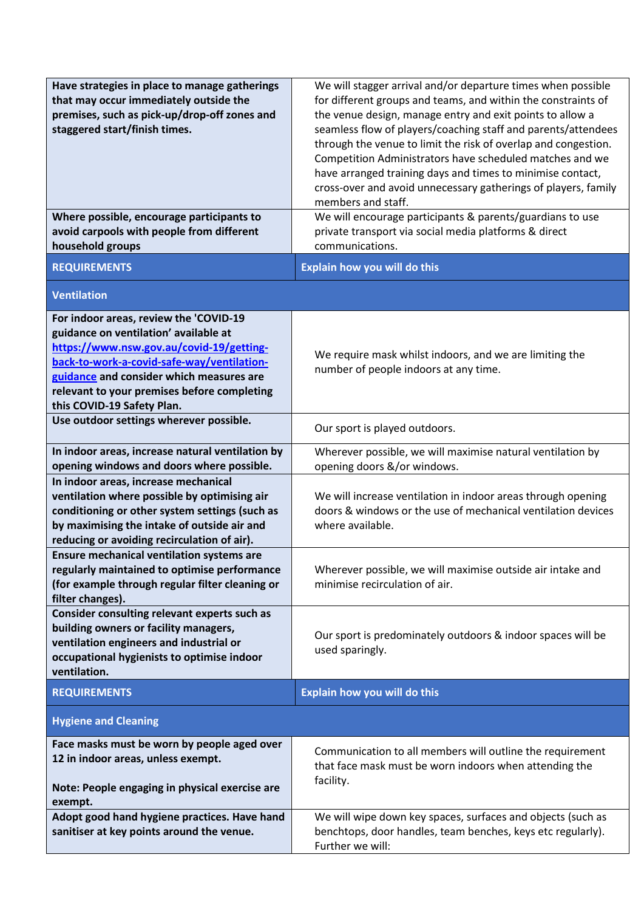| Have strategies in place to manage gatherings<br>that may occur immediately outside the<br>premises, such as pick-up/drop-off zones and<br>staggered start/finish times.<br>Where possible, encourage participants to<br>avoid carpools with people from different<br>household groups             | We will stagger arrival and/or departure times when possible<br>for different groups and teams, and within the constraints of<br>the venue design, manage entry and exit points to allow a<br>seamless flow of players/coaching staff and parents/attendees<br>through the venue to limit the risk of overlap and congestion.<br>Competition Administrators have scheduled matches and we<br>have arranged training days and times to minimise contact,<br>cross-over and avoid unnecessary gatherings of players, family<br>members and staff.<br>We will encourage participants & parents/guardians to use<br>private transport via social media platforms & direct<br>communications. |
|----------------------------------------------------------------------------------------------------------------------------------------------------------------------------------------------------------------------------------------------------------------------------------------------------|------------------------------------------------------------------------------------------------------------------------------------------------------------------------------------------------------------------------------------------------------------------------------------------------------------------------------------------------------------------------------------------------------------------------------------------------------------------------------------------------------------------------------------------------------------------------------------------------------------------------------------------------------------------------------------------|
| <b>REQUIREMENTS</b>                                                                                                                                                                                                                                                                                | <b>Explain how you will do this</b>                                                                                                                                                                                                                                                                                                                                                                                                                                                                                                                                                                                                                                                      |
| <b>Ventilation</b>                                                                                                                                                                                                                                                                                 |                                                                                                                                                                                                                                                                                                                                                                                                                                                                                                                                                                                                                                                                                          |
| For indoor areas, review the 'COVID-19<br>guidance on ventilation' available at<br>https://www.nsw.gov.au/covid-19/getting-<br>back-to-work-a-covid-safe-way/ventilation-<br>guidance and consider which measures are<br>relevant to your premises before completing<br>this COVID-19 Safety Plan. | We require mask whilst indoors, and we are limiting the<br>number of people indoors at any time.                                                                                                                                                                                                                                                                                                                                                                                                                                                                                                                                                                                         |
| Use outdoor settings wherever possible.                                                                                                                                                                                                                                                            | Our sport is played outdoors.                                                                                                                                                                                                                                                                                                                                                                                                                                                                                                                                                                                                                                                            |
| In indoor areas, increase natural ventilation by<br>opening windows and doors where possible.                                                                                                                                                                                                      | Wherever possible, we will maximise natural ventilation by<br>opening doors &/or windows.                                                                                                                                                                                                                                                                                                                                                                                                                                                                                                                                                                                                |
| In indoor areas, increase mechanical<br>ventilation where possible by optimising air<br>conditioning or other system settings (such as<br>by maximising the intake of outside air and<br>reducing or avoiding recirculation of air).                                                               | We will increase ventilation in indoor areas through opening<br>doors & windows or the use of mechanical ventilation devices<br>where available.                                                                                                                                                                                                                                                                                                                                                                                                                                                                                                                                         |
| <b>Ensure mechanical ventilation systems are</b><br>regularly maintained to optimise performance<br>(for example through regular filter cleaning or<br>filter changes).                                                                                                                            | Wherever possible, we will maximise outside air intake and<br>minimise recirculation of air.                                                                                                                                                                                                                                                                                                                                                                                                                                                                                                                                                                                             |
| Consider consulting relevant experts such as<br>building owners or facility managers,<br>ventilation engineers and industrial or<br>occupational hygienists to optimise indoor<br>ventilation.                                                                                                     | Our sport is predominately outdoors & indoor spaces will be<br>used sparingly.                                                                                                                                                                                                                                                                                                                                                                                                                                                                                                                                                                                                           |
| <b>REQUIREMENTS</b>                                                                                                                                                                                                                                                                                | Explain how you will do this                                                                                                                                                                                                                                                                                                                                                                                                                                                                                                                                                                                                                                                             |
| <b>Hygiene and Cleaning</b>                                                                                                                                                                                                                                                                        |                                                                                                                                                                                                                                                                                                                                                                                                                                                                                                                                                                                                                                                                                          |
| Face masks must be worn by people aged over<br>12 in indoor areas, unless exempt.<br>Note: People engaging in physical exercise are<br>exempt.                                                                                                                                                     | Communication to all members will outline the requirement<br>that face mask must be worn indoors when attending the<br>facility.                                                                                                                                                                                                                                                                                                                                                                                                                                                                                                                                                         |
| Adopt good hand hygiene practices. Have hand<br>sanitiser at key points around the venue.                                                                                                                                                                                                          | We will wipe down key spaces, surfaces and objects (such as<br>benchtops, door handles, team benches, keys etc regularly).<br>Further we will:                                                                                                                                                                                                                                                                                                                                                                                                                                                                                                                                           |